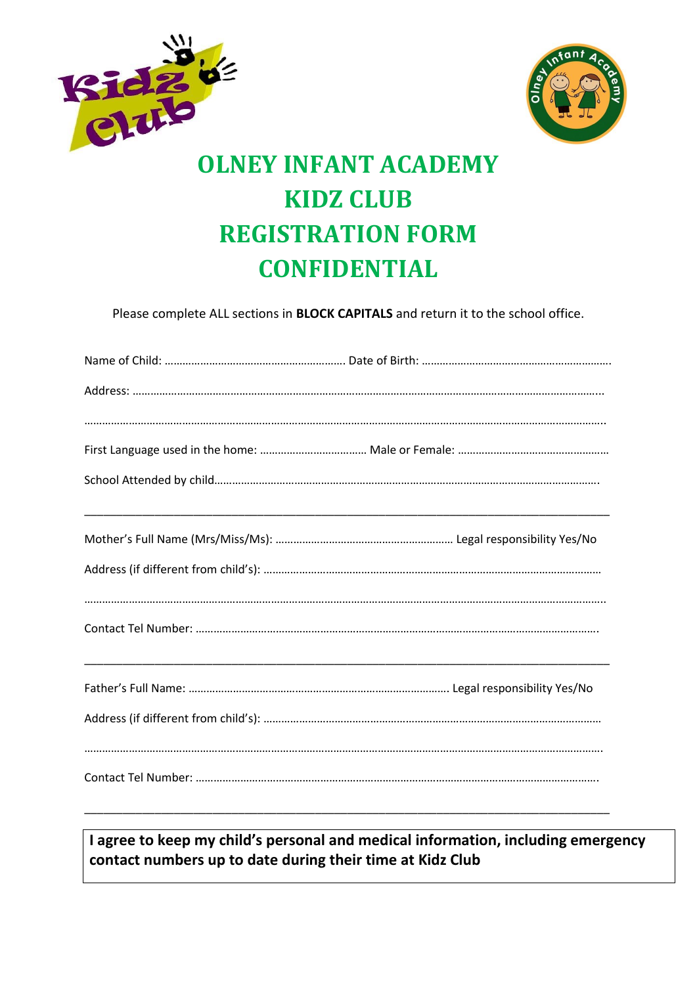



# **KIDZ CLUB REGISTRATION FORM CONFIDENTIAL**

Please complete ALL sections in **BLOCK CAPITALS** and return it to the school office.

**I agree to keep my child's personal and medical information, including emergency contact numbers up to date during their time at Kidz Club**

\_\_\_\_\_\_\_\_\_\_\_\_\_\_\_\_\_\_\_\_\_\_\_\_\_\_\_\_\_\_\_\_\_\_\_\_\_\_\_\_\_\_\_\_\_\_\_\_\_\_\_\_\_\_\_\_\_\_\_\_\_\_\_\_\_\_\_\_\_\_\_\_\_\_\_\_\_\_\_\_\_\_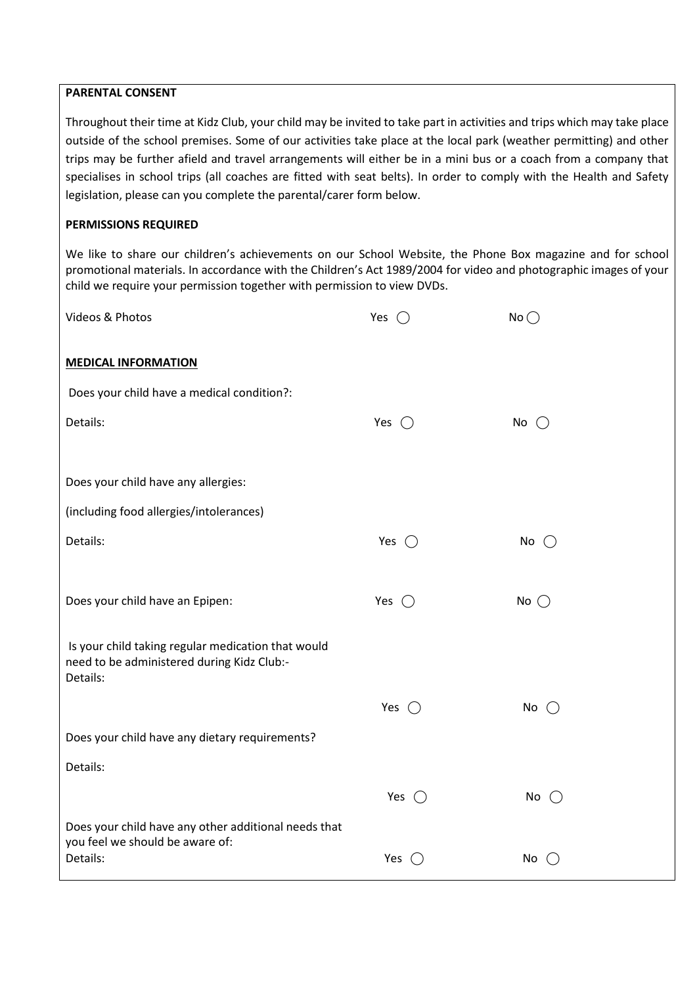#### **PARENTAL CONSENT**

Throughout their time at Kidz Club, your child may be invited to take part in activities and trips which may take place outside of the school premises. Some of our activities take place at the local park (weather permitting) and other trips may be further afield and travel arrangements will either be in a mini bus or a coach from a company that specialises in school trips (all coaches are fitted with seat belts). In order to comply with the Health and Safety legislation, please can you complete the parental/carer form below.

## **PERMISSIONS REQUIRED**

We like to share our children's achievements on our School Website, the Phone Box magazine and for school promotional materials. In accordance with the Children's Act 1989/2004 for video and photographic images of your child we require your permission together with permission to view DVDs.

| Videos & Photos                                                                                  | Yes $\bigcirc$ | No            |
|--------------------------------------------------------------------------------------------------|----------------|---------------|
| <b>MEDICAL INFORMATION</b>                                                                       |                |               |
| Does your child have a medical condition?:                                                       |                |               |
| Details:                                                                                         | Yes $\bigcirc$ | No $\bigcirc$ |
|                                                                                                  |                |               |
| Does your child have any allergies:                                                              |                |               |
| (including food allergies/intolerances)                                                          |                |               |
| Details:                                                                                         | Yes $\bigcirc$ | No $\bigcirc$ |
|                                                                                                  |                |               |
| Does your child have an Epipen:                                                                  | Yes $\bigcirc$ | No $\bigcirc$ |
|                                                                                                  |                |               |
| Is your child taking regular medication that would<br>need to be administered during Kidz Club:- |                |               |
| Details:                                                                                         |                |               |
|                                                                                                  | Yes $\bigcap$  | No $\bigcap$  |
| Does your child have any dietary requirements?                                                   |                |               |
| Details:                                                                                         |                |               |
|                                                                                                  | Yes $\bigcirc$ | No $\bigcirc$ |
| Does your child have any other additional needs that<br>you feel we should be aware of:          |                |               |
| Details:                                                                                         | Yes $\bigcirc$ | No            |
|                                                                                                  |                |               |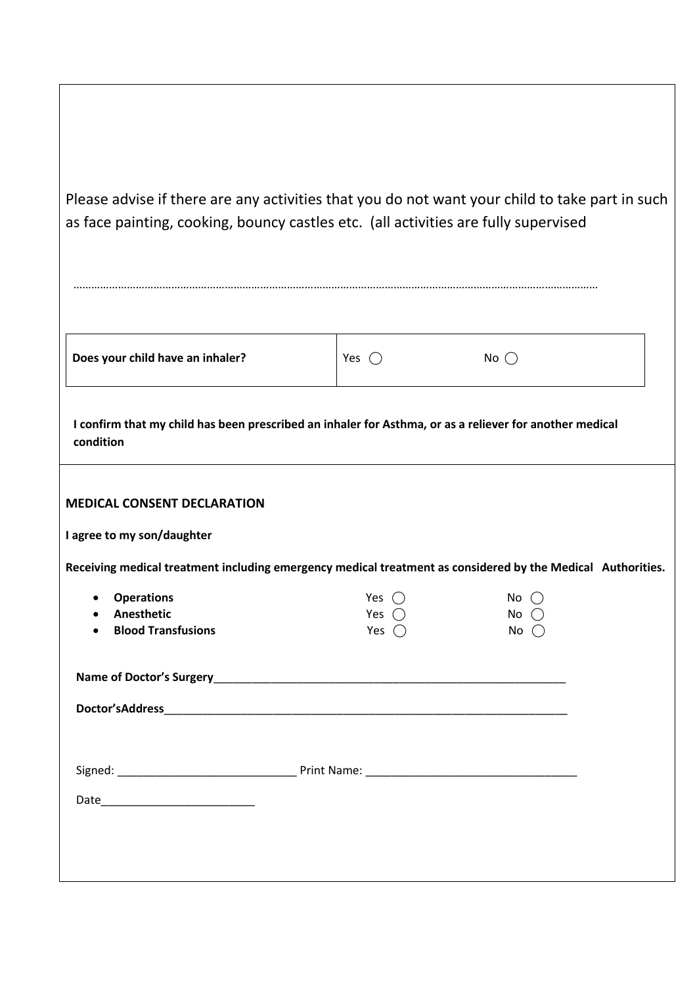| Please advise if there are any activities that you do not want your child to take part in such<br>as face painting, cooking, bouncy castles etc. (all activities are fully supervised |                                                                                                         |                                     |  |
|---------------------------------------------------------------------------------------------------------------------------------------------------------------------------------------|---------------------------------------------------------------------------------------------------------|-------------------------------------|--|
|                                                                                                                                                                                       |                                                                                                         |                                     |  |
| Does your child have an inhaler?                                                                                                                                                      | Yes $\bigcirc$                                                                                          | No $\bigcirc$                       |  |
| condition                                                                                                                                                                             | I confirm that my child has been prescribed an inhaler for Asthma, or as a reliever for another medical |                                     |  |
| <b>MEDICAL CONSENT DECLARATION</b><br>I agree to my son/daughter<br>Receiving medical treatment including emergency medical treatment as considered by the Medical Authorities.       |                                                                                                         |                                     |  |
| <b>Operations</b><br>Anesthetic<br><b>Blood Transfusions</b>                                                                                                                          | Yes $\bigcirc$<br>Yes $\bigcap$<br>Yes $\bigcirc$                                                       | No<br>No $\bigcirc$<br>No $\bigcap$ |  |
|                                                                                                                                                                                       |                                                                                                         |                                     |  |
|                                                                                                                                                                                       |                                                                                                         |                                     |  |
|                                                                                                                                                                                       |                                                                                                         |                                     |  |
|                                                                                                                                                                                       |                                                                                                         |                                     |  |
|                                                                                                                                                                                       |                                                                                                         |                                     |  |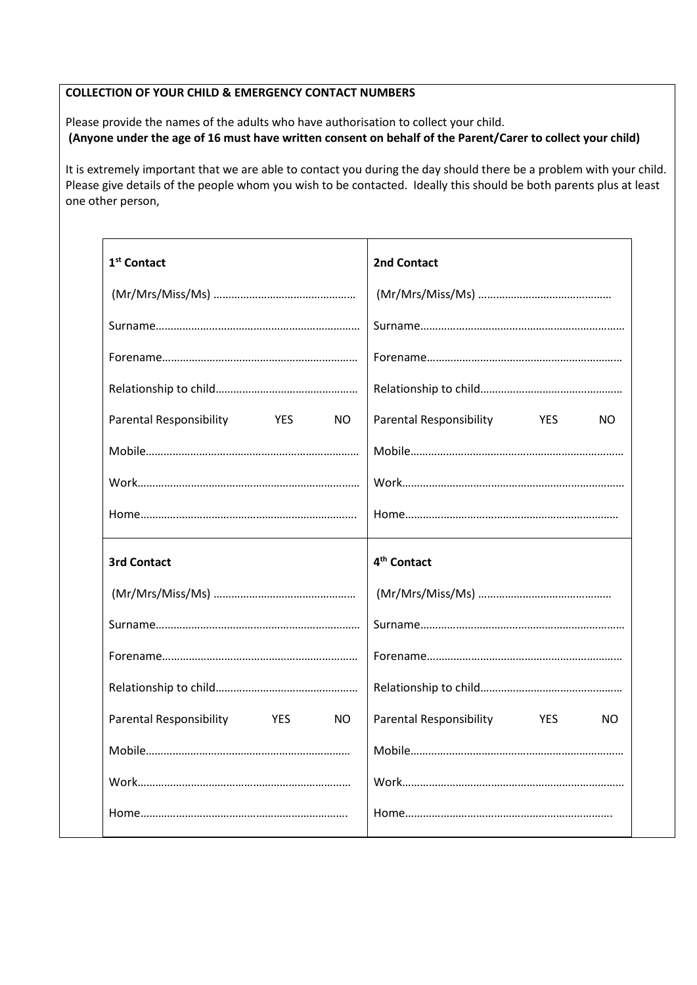#### **COLLECTION OF YOUR CHILD & EMERGENCY CONTACT NUMBERS**

Please provide the names of the adults who have authorisation to collect your child.  **(Anyone under the age of 16 must have written consent on behalf of the Parent/Carer to collect your child)**

It is extremely important that we are able to contact you during the day should there be a problem with your child. Please give details of the people whom you wish to be contacted. Ideally this should be both parents plus at least one other person,

| 1 <sup>st</sup> Contact                                        | 2nd Contact                                         |
|----------------------------------------------------------------|-----------------------------------------------------|
|                                                                |                                                     |
|                                                                |                                                     |
|                                                                |                                                     |
|                                                                |                                                     |
| <b>Parental Responsibility</b><br><b>Example 19</b><br>NO.     | Parental Responsibility<br><b>EXAMPLE</b><br>NO.    |
|                                                                |                                                     |
|                                                                |                                                     |
|                                                                |                                                     |
|                                                                |                                                     |
| <b>3rd Contact</b>                                             | 4 <sup>th</sup> Contact                             |
|                                                                |                                                     |
|                                                                |                                                     |
|                                                                |                                                     |
|                                                                |                                                     |
| <b>Parental Responsibility</b><br><b>Example 19 YES</b><br>NO. | <b>Parental Responsibility</b><br><b>YES</b><br>NO. |
|                                                                |                                                     |
|                                                                |                                                     |